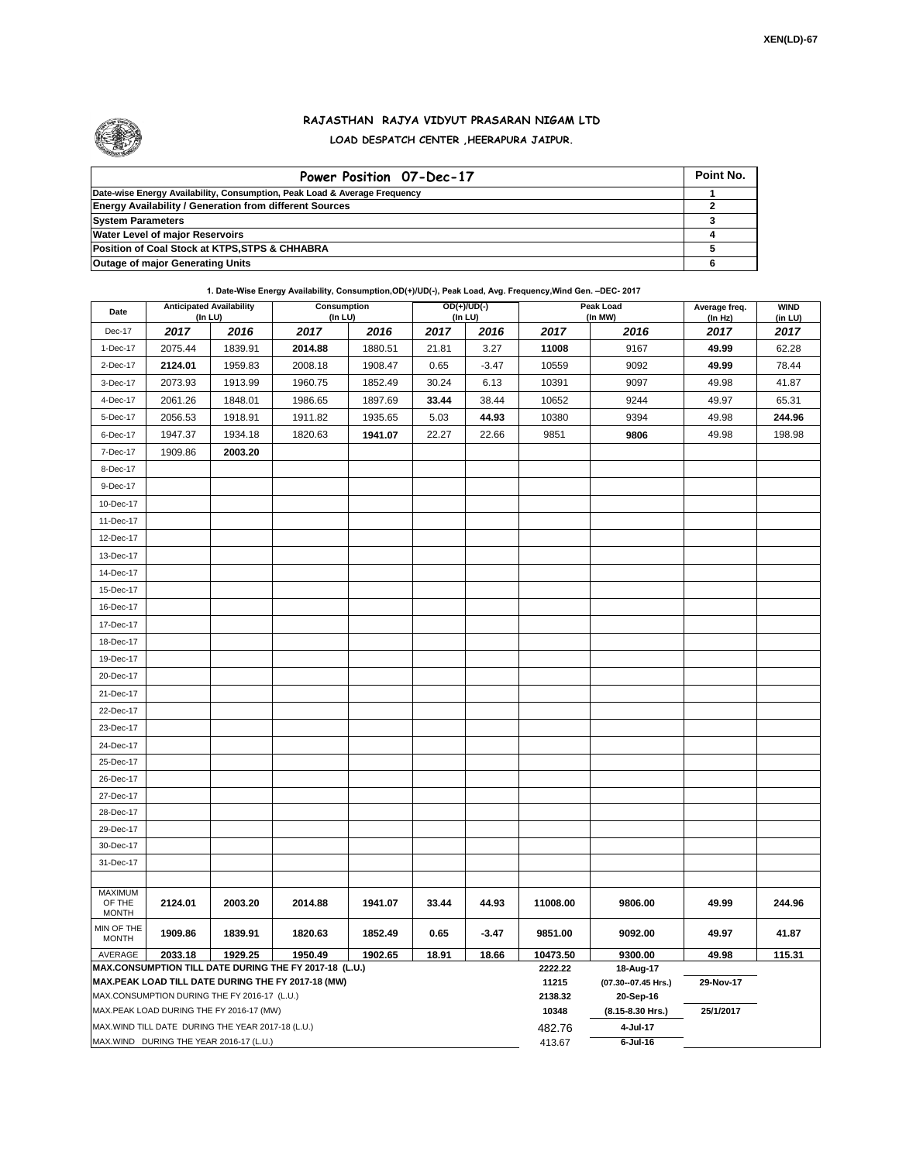

## **RAJASTHAN RAJYA VIDYUT PRASARAN NIGAM LTD LOAD DESPATCH CENTER ,HEERAPURA JAIPUR.**

| Power Position 07-Dec-17                                                  | Point No. |
|---------------------------------------------------------------------------|-----------|
| Date-wise Energy Availability, Consumption, Peak Load & Average Frequency |           |
| <b>Energy Availability / Generation from different Sources</b>            |           |
| <b>System Parameters</b>                                                  |           |
| <b>Water Level of major Reservoirs</b>                                    |           |
| Position of Coal Stock at KTPS, STPS & CHHABRA                            |           |
| <b>Outage of major Generating Units</b>                                   |           |

**1. Date-Wise Energy Availability, Consumption,OD(+)/UD(-), Peak Load, Avg. Frequency,Wind Gen. –DEC- 2017**

| Date                                                                                                         |         | <b>Anticipated Availability</b><br>(In LU) | Consumption<br>(In LU) |         |       | OD(+)/UD(-)<br>$($ In LU $)$ |                     | Peak Load<br>(In MW)               | Average freq.<br>(In Hz) | <b>WIND</b><br>(in LU) |
|--------------------------------------------------------------------------------------------------------------|---------|--------------------------------------------|------------------------|---------|-------|------------------------------|---------------------|------------------------------------|--------------------------|------------------------|
| Dec-17                                                                                                       | 2017    | 2016                                       | 2017                   | 2016    | 2017  | 2016                         | 2017                | 2016                               | 2017                     | 2017                   |
| 1-Dec-17                                                                                                     | 2075.44 | 1839.91                                    | 2014.88                | 1880.51 | 21.81 | 3.27                         | 11008               | 9167                               | 49.99                    | 62.28                  |
| 2-Dec-17                                                                                                     | 2124.01 | 1959.83                                    | 2008.18                | 1908.47 | 0.65  | $-3.47$                      | 10559               | 9092                               | 49.99                    | 78.44                  |
| 3-Dec-17                                                                                                     | 2073.93 | 1913.99                                    | 1960.75                | 1852.49 | 30.24 | 6.13                         | 10391               | 9097                               | 49.98                    | 41.87                  |
| 4-Dec-17                                                                                                     | 2061.26 | 1848.01                                    | 1986.65                | 1897.69 | 33.44 | 38.44                        | 10652               | 9244                               | 49.97                    | 65.31                  |
| 5-Dec-17                                                                                                     | 2056.53 | 1918.91                                    | 1911.82                | 1935.65 | 5.03  | 44.93                        | 10380               | 9394                               | 49.98                    | 244.96                 |
| 6-Dec-17                                                                                                     | 1947.37 | 1934.18                                    | 1820.63                | 1941.07 | 22.27 | 22.66                        | 9851                | 9806                               | 49.98                    | 198.98                 |
| 7-Dec-17                                                                                                     | 1909.86 | 2003.20                                    |                        |         |       |                              |                     |                                    |                          |                        |
| 8-Dec-17                                                                                                     |         |                                            |                        |         |       |                              |                     |                                    |                          |                        |
| 9-Dec-17                                                                                                     |         |                                            |                        |         |       |                              |                     |                                    |                          |                        |
| 10-Dec-17                                                                                                    |         |                                            |                        |         |       |                              |                     |                                    |                          |                        |
| 11-Dec-17                                                                                                    |         |                                            |                        |         |       |                              |                     |                                    |                          |                        |
| 12-Dec-17                                                                                                    |         |                                            |                        |         |       |                              |                     |                                    |                          |                        |
| 13-Dec-17                                                                                                    |         |                                            |                        |         |       |                              |                     |                                    |                          |                        |
| 14-Dec-17                                                                                                    |         |                                            |                        |         |       |                              |                     |                                    |                          |                        |
| 15-Dec-17                                                                                                    |         |                                            |                        |         |       |                              |                     |                                    |                          |                        |
| 16-Dec-17                                                                                                    |         |                                            |                        |         |       |                              |                     |                                    |                          |                        |
| 17-Dec-17                                                                                                    |         |                                            |                        |         |       |                              |                     |                                    |                          |                        |
| 18-Dec-17                                                                                                    |         |                                            |                        |         |       |                              |                     |                                    |                          |                        |
| 19-Dec-17                                                                                                    |         |                                            |                        |         |       |                              |                     |                                    |                          |                        |
| 20-Dec-17                                                                                                    |         |                                            |                        |         |       |                              |                     |                                    |                          |                        |
| 21-Dec-17                                                                                                    |         |                                            |                        |         |       |                              |                     |                                    |                          |                        |
| 22-Dec-17                                                                                                    |         |                                            |                        |         |       |                              |                     |                                    |                          |                        |
| 23-Dec-17                                                                                                    |         |                                            |                        |         |       |                              |                     |                                    |                          |                        |
| 24-Dec-17                                                                                                    |         |                                            |                        |         |       |                              |                     |                                    |                          |                        |
| 25-Dec-17                                                                                                    |         |                                            |                        |         |       |                              |                     |                                    |                          |                        |
| 26-Dec-17                                                                                                    |         |                                            |                        |         |       |                              |                     |                                    |                          |                        |
| 27-Dec-17                                                                                                    |         |                                            |                        |         |       |                              |                     |                                    |                          |                        |
| 28-Dec-17                                                                                                    |         |                                            |                        |         |       |                              |                     |                                    |                          |                        |
| 29-Dec-17                                                                                                    |         |                                            |                        |         |       |                              |                     |                                    |                          |                        |
| 30-Dec-17                                                                                                    |         |                                            |                        |         |       |                              |                     |                                    |                          |                        |
| 31-Dec-17                                                                                                    |         |                                            |                        |         |       |                              |                     |                                    |                          |                        |
|                                                                                                              |         |                                            |                        |         |       |                              |                     |                                    |                          |                        |
| <b>MAXIMUM</b><br>OF THE                                                                                     | 2124.01 | 2003.20                                    | 2014.88                | 1941.07 | 33.44 | 44.93                        | 11008.00            | 9806.00                            | 49.99                    | 244.96                 |
| <b>MONTH</b>                                                                                                 |         |                                            |                        |         |       |                              |                     |                                    |                          |                        |
| MIN OF THE<br><b>MONTH</b>                                                                                   | 1909.86 | 1839.91                                    | 1820.63                | 1852.49 | 0.65  | $-3.47$                      | 9851.00             | 9092.00                            | 49.97                    | 41.87                  |
| AVERAGE                                                                                                      | 2033.18 | 1929.25                                    | 1950.49                | 1902.65 | 18.91 | 18.66                        | 10473.50<br>2222.22 | 9300.00                            | 49.98                    | 115.31                 |
| MAX.CONSUMPTION TILL DATE DURING THE FY 2017-18 (L.U.)<br>MAX.PEAK LOAD TILL DATE DURING THE FY 2017-18 (MW) |         |                                            |                        |         |       |                              |                     | 18-Aug-17<br>(07.30 -- 07.45 Hrs.) |                          |                        |
| MAX.CONSUMPTION DURING THE FY 2016-17 (L.U.)                                                                 |         |                                            |                        |         |       |                              |                     | 20-Sep-16                          | 29-Nov-17                |                        |
| MAX.PEAK LOAD DURING THE FY 2016-17 (MW)                                                                     |         |                                            |                        |         |       |                              |                     | (8.15-8.30 Hrs.)                   | 25/1/2017                |                        |
| MAX.WIND TILL DATE DURING THE YEAR 2017-18 (L.U.)                                                            |         |                                            |                        |         |       |                              |                     | 4-Jul-17                           |                          |                        |
| MAX.WIND DURING THE YEAR 2016-17 (L.U.)                                                                      |         |                                            |                        |         |       |                              |                     | $6$ -Jul-16                        |                          |                        |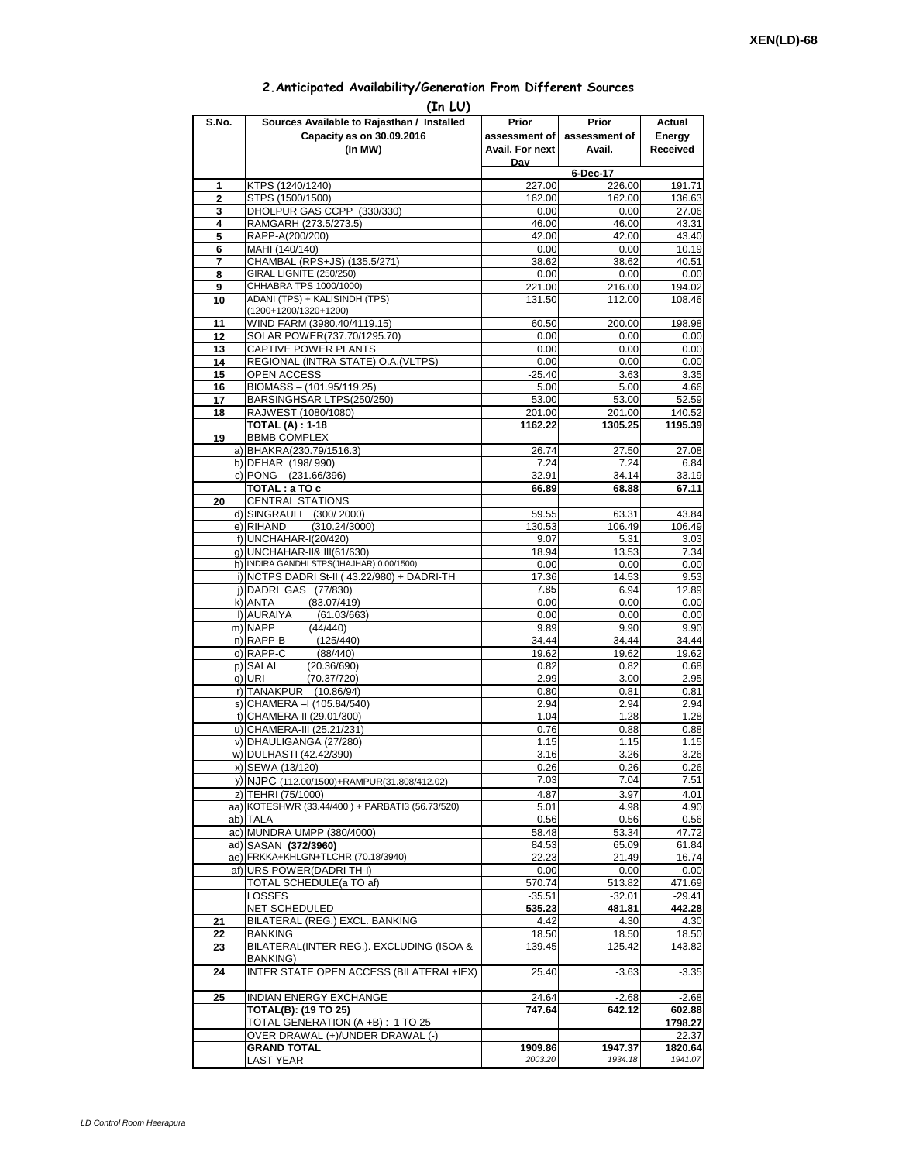## **2.Anticipated Availability/Generation From Different Sources**

| (In LU)        |                                                                          |                 |                    |                  |  |  |  |  |  |
|----------------|--------------------------------------------------------------------------|-----------------|--------------------|------------------|--|--|--|--|--|
| S.No.          | Sources Available to Rajasthan / Installed                               | Prior           | Prior              | Actual           |  |  |  |  |  |
|                | Capacity as on 30.09.2016                                                | assessment of I | assessment of      | Energy           |  |  |  |  |  |
|                | (In MW)                                                                  | Avail. For next | Avail.             | Received         |  |  |  |  |  |
|                |                                                                          | Dav             |                    |                  |  |  |  |  |  |
| 1              | KTPS (1240/1240)                                                         | 227.00          | 6-Dec-17<br>226.00 | 191.71           |  |  |  |  |  |
| $\overline{2}$ | STPS (1500/1500)                                                         | 162.00          | 162.00             | 136.63           |  |  |  |  |  |
| 3              | DHOLPUR GAS CCPP (330/330)                                               | 0.00            | 0.00               | 27.06            |  |  |  |  |  |
| 4              | RAMGARH (273.5/273.5)                                                    | 46.00           | 46.00              | 43.31            |  |  |  |  |  |
| 5              | RAPP-A(200/200)                                                          | 42.00           | 42.00              | 43.40            |  |  |  |  |  |
| 6              | MAHI (140/140)                                                           | 0.00            | 0.00               | 10.19            |  |  |  |  |  |
| 7<br>8         | CHAMBAL (RPS+JS) (135.5/271)<br>GIRAL LIGNITE (250/250)                  | 38.62<br>0.00   | 38.62<br>0.00      | 40.51<br>0.00    |  |  |  |  |  |
| 9              | CHHABRA TPS 1000/1000)                                                   | 221.00          | 216.00             | 194.02           |  |  |  |  |  |
| 10             | ADANI (TPS) + KALISINDH (TPS)                                            | 131.50          | 112.00             | 108.46           |  |  |  |  |  |
|                | (1200+1200/1320+1200)                                                    |                 |                    |                  |  |  |  |  |  |
| 11             | WIND FARM (3980.40/4119.15)                                              | 60.50           | 200.00             | 198.98           |  |  |  |  |  |
| 12             | SOLAR POWER(737.70/1295.70)                                              | 0.00            | 0.00               | 0.00             |  |  |  |  |  |
| 13<br>14       | CAPTIVE POWER PLANTS<br>REGIONAL (INTRA STATE) O.A. (VLTPS)              | 0.00<br>0.00    | 0.00<br>0.00       | 0.00<br>0.00     |  |  |  |  |  |
| 15             | <b>OPEN ACCESS</b>                                                       | $-25.40$        | 3.63               | 3.35             |  |  |  |  |  |
| 16             | BIOMASS - (101.95/119.25)                                                | 5.00            | 5.00               | 4.66             |  |  |  |  |  |
| 17             | BARSINGHSAR LTPS(250/250)                                                | 53.00           | 53.00              | 52.59            |  |  |  |  |  |
| 18             | RAJWEST (1080/1080)                                                      | 201.00          | 201.00             | 140.52           |  |  |  |  |  |
|                | <b>TOTAL (A): 1-18</b>                                                   | 1162.22         | 1305.25            | 1195.39          |  |  |  |  |  |
| 19             | <b>BBMB COMPLEX</b>                                                      |                 |                    |                  |  |  |  |  |  |
|                | a) BHAKRA(230.79/1516.3)<br>b) DEHAR (198/990)                           | 26.74<br>7.24   | 27.50<br>7.24      | 27.08<br>6.84    |  |  |  |  |  |
|                | c) PONG (231.66/396)                                                     | 32.91           | 34.14              | 33.19            |  |  |  |  |  |
|                | TOTAL: a TO c                                                            | 66.89           | 68.88              | 67.11            |  |  |  |  |  |
| 20             | <b>CENTRAL STATIONS</b>                                                  |                 |                    |                  |  |  |  |  |  |
|                | d) SINGRAULI (300/2000)                                                  | 59.55           | 63.31              | 43.84            |  |  |  |  |  |
|                | e) RIHAND<br>(310.24/3000)                                               | 130.53          | 106.49             | 106.49           |  |  |  |  |  |
|                | f) UNCHAHAR-I(20/420)                                                    | 9.07            | 5.31               | 3.03             |  |  |  |  |  |
|                | g) UNCHAHAR-II& III(61/630)<br>h) INDIRA GANDHI STPS(JHAJHAR) 0.00/1500) | 18.94<br>0.00   | 13.53<br>0.00      | 7.34<br>0.00     |  |  |  |  |  |
|                | i) NCTPS DADRI St-II (43.22/980) + DADRI-TH                              | 17.36           | 14.53              | 9.53             |  |  |  |  |  |
|                | j) DADRI GAS (77/830)                                                    | 7.85            | 6.94               | 12.89            |  |  |  |  |  |
|                | (83.07/419)<br>k) ANTA                                                   | 0.00            | 0.00               | 0.00             |  |  |  |  |  |
|                | I) AURAIYA<br>(61.03/663)                                                | 0.00            | 0.00               | 0.00             |  |  |  |  |  |
|                | m) NAPP<br>(44/440)<br>n) RAPP-B                                         | 9.89<br>34.44   | 9.90<br>34.44      | 9.90<br>34.44    |  |  |  |  |  |
|                | (125/440)<br>o) RAPP-C<br>(88/440)                                       | 19.62           | 19.62              | 19.62            |  |  |  |  |  |
|                | p) SALAL<br>(20.36/690)                                                  | 0.82            | 0.82               | 0.68             |  |  |  |  |  |
|                | q) URI<br>(70.37/720)                                                    | 2.99            | 3.00               | 2.95             |  |  |  |  |  |
|                | r) TANAKPUR (10.86/94)                                                   | 0.80            | 0.81               | 0.81             |  |  |  |  |  |
|                | s) CHAMERA - (105.84/540)                                                | 2.94            | 2.94               | 2.94             |  |  |  |  |  |
|                | t) CHAMERA-II (29.01/300)                                                | 1.04            | 1.28               | 1.28             |  |  |  |  |  |
|                | u) CHAMERA-III (25.21/231)<br>v) DHAULIGANGA (27/280)                    | 0.76<br>1.15    | 0.88<br>1.15       | 0.88<br>1.15     |  |  |  |  |  |
|                | w) DULHASTI (42.42/390)                                                  | 3.16            | 3.26               | 3.26             |  |  |  |  |  |
|                | x) SEWA (13/120)                                                         | 0.26            | 0.26               | 0.26             |  |  |  |  |  |
|                | y) NJPC (112.00/1500)+RAMPUR(31.808/412.02)                              | 7.03            | 7.04               | 7.51             |  |  |  |  |  |
|                | z) TEHRI (75/1000)                                                       | 4.87            | 3.97               | 4.01             |  |  |  |  |  |
|                | aa) KOTESHWR (33.44/400) + PARBATI3 (56.73/520)                          | 5.01            | 4.98               | 4.90             |  |  |  |  |  |
|                | ab) TALA                                                                 | 0.56            | 0.56               | 0.56             |  |  |  |  |  |
|                | ac) MUNDRA UMPP (380/4000)<br>ad) SASAN (372/3960)                       | 58.48<br>84.53  | 53.34<br>65.09     | 47.72<br>61.84   |  |  |  |  |  |
|                | ae) FRKKA+KHLGN+TLCHR (70.18/3940)                                       | 22.23           | 21.49              | 16.74            |  |  |  |  |  |
|                | af) URS POWER(DADRITH-I)                                                 | 0.00            | 0.00               | 0.00             |  |  |  |  |  |
|                | TOTAL SCHEDULE(a TO af)                                                  | 570.74          | 513.82             | 471.69           |  |  |  |  |  |
|                | LOSSES                                                                   | $-35.51$        | $-32.01$           | $-29.41$         |  |  |  |  |  |
|                | NET SCHEDULED                                                            | 535.23          | 481.81             | 442.28           |  |  |  |  |  |
| 21             | BILATERAL (REG.) EXCL. BANKING                                           | 4.42            | 4.30               | 4.30             |  |  |  |  |  |
| 22<br>23       | BANKING<br>BILATERAL(INTER-REG.). EXCLUDING (ISOA &                      | 18.50<br>139.45 | 18.50<br>125.42    | 18.50<br>143.82  |  |  |  |  |  |
|                | BANKING)                                                                 |                 |                    |                  |  |  |  |  |  |
| 24             | INTER STATE OPEN ACCESS (BILATERAL+IEX)                                  | 25.40           | $-3.63$            | $-3.35$          |  |  |  |  |  |
|                |                                                                          |                 |                    |                  |  |  |  |  |  |
| 25             | <b>INDIAN ENERGY EXCHANGE</b>                                            | 24.64           | $-2.68$            | $-2.68$          |  |  |  |  |  |
|                | <b>TOTAL(B): (19 TO 25)</b>                                              | 747.64          | 642.12             | 602.88           |  |  |  |  |  |
|                | TOTAL GENERATION (A +B) : 1 TO 25<br>OVER DRAWAL (+)/UNDER DRAWAL (-)    |                 |                    | 1798.27<br>22.37 |  |  |  |  |  |
|                | <b>GRAND TOTAL</b>                                                       | 1909.86         | 1947.37            | 1820.64          |  |  |  |  |  |
|                | <b>LAST YEAR</b>                                                         | 2003.20         | 1934.18            | 1941.07          |  |  |  |  |  |
|                |                                                                          |                 |                    |                  |  |  |  |  |  |